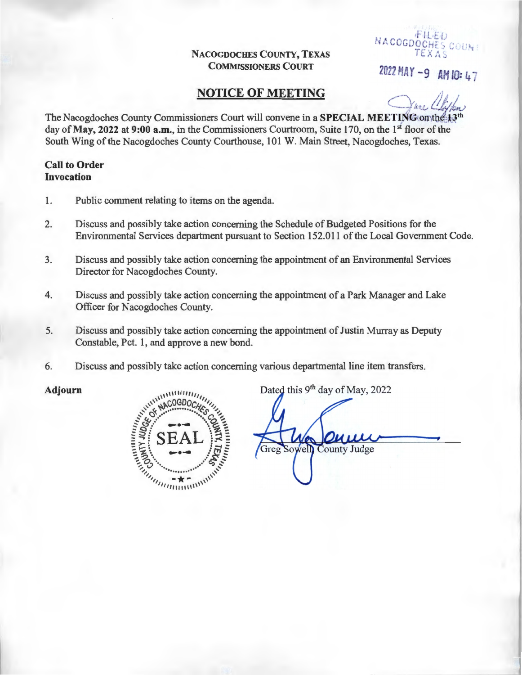NACOGDOCHES COUNTY, TEXAS COMMISSIONERS COURT

WACOGDOCHES COUN

2022 MAY - 9 AH *fD;* 4 -

## **NOTICE OF MEETING**

The Nacogdoches County Commissioners Court will convene in a SPECIAL MEETING on the day of May, 2022 at 9:00 a.m., in the Commissioners Courtroom, Suite 170, on the 1st floor of the South Wing of the Nacogdoches County Courthouse, 101 W. Main Street, Nacogdoches, Texas.

## Call to Order Invocation

- 1. Public comment relating to items on the agenda.
- 2. Discuss and possibly take action concerning the Schedule of Budgeted Positions for the Environmental Services department pursuant to Section 152.011 of the Local Government Code.
- 3. Discuss and possibly take action concerning the appointment of an Environmental Services Director for Nacogdoches County.
- 4. Discuss and possibly take action concerning the appointment of a Park Manager and Lake Officer for Nacogdoches County.
- 5. Discuss and possibly take action concerning the appointment of Justin Murray as Deputy Constable, Pet. 1, and approve a new bond.
- 



6. Discuss and possibly take action concerning various departmental line item transfers.<br>
Adjourn<br>  $\begin{bmatrix}\n\frac{\partial \phi}{\partial x} & \frac{\partial \phi}{\partial y} & \frac{\partial \phi}{\partial x} \\
\frac{\partial \phi}{\partial x} & \frac{\partial \phi}{\partial y} & \frac{\partial \phi}{\partial z} \\
\frac{\partial \phi}{\partial x} & \frac{\partial \phi}{\partial y} & \frac{\partial \phi}{\partial z} \\
\frac{\partial \phi$ Adjourn Dated this  $9^{th}$  day of May, 2022 Greg Sowell **County Judge**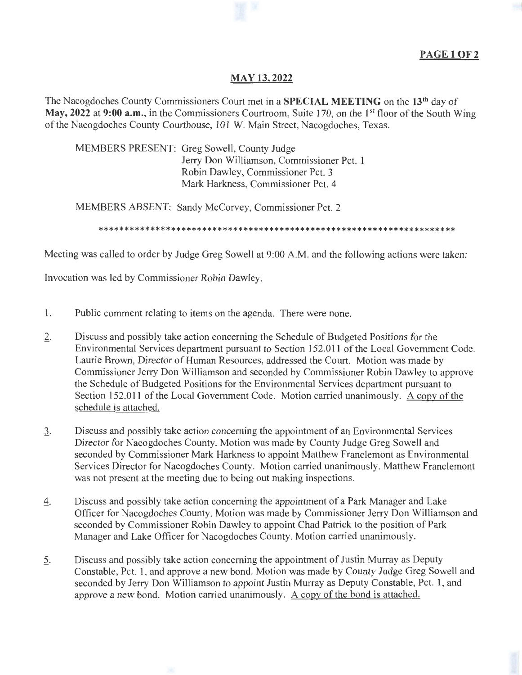

## **MAY 13,2022**

The Nacogdoches County Commissioners Court met in a **SPECIAL MEETING** on the **13th** day of May, 2022 at 9:00 a.m., in the Commissioners Courtroom, Suite 170, on the 1<sup>st</sup> floor of the South Wing of the Nacogdoches County Courthouse, 101 W. Main Street, Nacogdoches, Texas.

MEMBERS PRESENT: Greg Sowell, County Judge Jerry Don Williamson, Commissioner Pet. 1 Robin Dawley, Commissioner Pet. 3 Mark Harkness, Commissioner Pet. 4

MEMBERS ABSENT: Sandy McCorvey, Commissioner Pet. 2

\*\* \*\*\*\*\*\*\*\*\*\*\*\*\*\*\*\*\*\*\*\*\*\*\*\*\*\*\*\*\*\*\*\*\* \*\*\*\*\*\* \*\*\*\*\*\*\*\*\*\*\*\*\*\*\*\*\*\*\*\*\*\*\*\*\*\*\*\*

Meeting was called to order by Judge Greg Sowell at 9:00 A.M. and the following actions were taken:

Invocation was led by Commissioner Robin Dawley.

- 1. Public comment relating to items on the agenda. There were none.
- 2. Discuss and possibly take action concerning the Schedule of Budgeted Positions for the Environmental Services department pursuant to Section 152.011 of the Local Government Code. Laurie Brown, Director of Human Resources, addressed the Court. Motion was made by Commissioner Jerry Don Williamson and seconded by Commissioner Robin Dawley to approve the Schedule of Budgeted Positions for the Environmental Services department pursuant to Section 152.011 of the Local Government Code. Motion carried unanimously. A copy of the schedule is attached.
- 1. Discuss and possibly take action concerning the appointment of an Environmental Services Director for Nacogdoches County. Motion was made by County Judge Greg Sowell and seconded by Commissioner Mark Harkness to appoint Matthew Franclemont as Environmental Services Director for Nacogdoches County. Motion carried unanimously. Matthew Franclemont was not present at the meeting due to being out making inspections.
- 4. Discuss and possibly take action concerning the appointment of a Park Manager and Lake Officer for Nacogdoches County. Motion was made by Commissioner Jerry Don Williamson and seconded by Commissioner Robin Dawley to appoint Chad Patrick to the position of Park Manager and Lake Officer for Nacogdoches County. Motion carried unanimously.
- 2. Discuss and possibly take action concerning the appointment of Justin Murray as Deputy Constable, Pet. 1, and approve a new bond. Motion was made by County Judge Greg Sowell and seconded by Jerry Don Williamson to appoint Justin Murray as Deputy Constable, Pet. 1, and approve a new bond. Motion carried unanimously. A copy of the bond is attached.